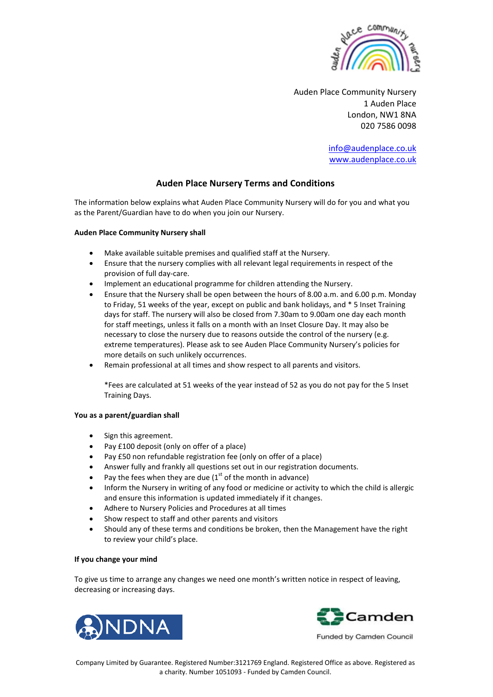

Auden Place Community Nursery 1 Auden Place London, NW1 8NA 020 7586 0098

> [info@audenplace.co.uk](mailto:audenplace@btconnect.com) [www.audenplace.co.uk](http://www.audenplace.co.uk/)

# **Auden Place Nursery Terms and Conditions**

The information below explains what Auden Place Community Nursery will do for you and what you as the Parent/Guardian have to do when you join our Nursery.

## **Auden Place Community Nursery shall**

- Make available suitable premises and qualified staff at the Nursery.
- Ensure that the nursery complies with all relevant legal requirements in respect of the provision of full day-care.
- Implement an educational programme for children attending the Nursery.
- Ensure that the Nursery shall be open between the hours of 8.00 a.m. and 6.00 p.m. Monday to Friday, 51 weeks of the year, except on public and bank holidays, and \* 5 Inset Training days for staff. The nursery will also be closed from 7.30am to 9.00am one day each month for staff meetings, unless it falls on a month with an Inset Closure Day. It may also be necessary to close the nursery due to reasons outside the control of the nursery (e.g. extreme temperatures). Please ask to see Auden Place Community Nursery's policies for more details on such unlikely occurrences.
- Remain professional at all times and show respect to all parents and visitors.

\*Fees are calculated at 51 weeks of the year instead of 52 as you do not pay for the 5 Inset Training Days.

## **You as a parent/guardian shall**

- Sign this agreement.
- Pay £100 deposit (only on offer of a place)
- Pay £50 non refundable registration fee (only on offer of a place)
- Answer fully and frankly all questions set out in our registration documents.
- Pay the fees when they are due  $(1<sup>st</sup>$  of the month in advance)
- Inform the Nursery in writing of any food or medicine or activity to which the child is allergic and ensure this information is updated immediately if it changes.
- Adhere to Nursery Policies and Procedures at all times
- Show respect to staff and other parents and visitors
- Should any of these terms and conditions be broken, then the Management have the right to review your child's place.

## **If you change your mind**

To give us time to arrange any changes we need one month's written notice in respect of leaving, decreasing or increasing days.





Funded by Camden Council

Company Limited by Guarantee. Registered Number:3121769 England. Registered Office as above. Registered as a charity. Number 1051093 - Funded by Camden Council.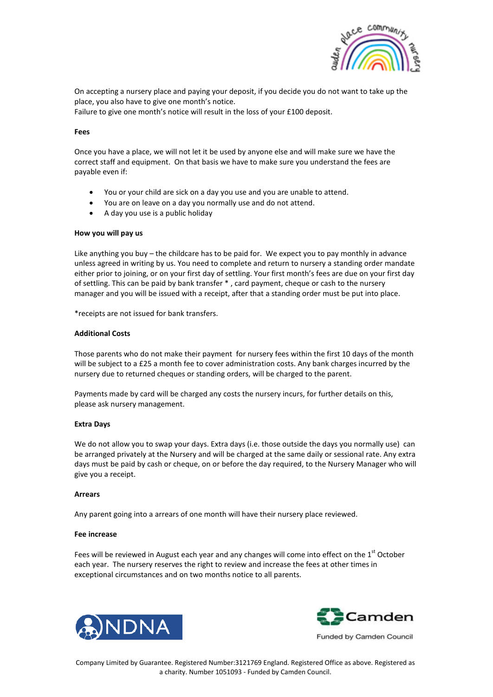

On accepting a nursery place and paying your deposit, if you decide you do not want to take up the place, you also have to give one month's notice.

Failure to give one month's notice will result in the loss of your £100 deposit.

### **Fees**

Once you have a place, we will not let it be used by anyone else and will make sure we have the correct staff and equipment. On that basis we have to make sure you understand the fees are payable even if:

- You or your child are sick on a day you use and you are unable to attend.
- You are on leave on a day you normally use and do not attend.
- A day you use is a public holiday

### **How you will pay us**

Like anything you buy – the childcare has to be paid for. We expect you to pay monthly in advance unless agreed in writing by us. You need to complete and return to nursery a standing order mandate either prior to joining, or on your first day of settling. Your first month's fees are due on your first day of settling. This can be paid by bank transfer \* , card payment, cheque or cash to the nursery manager and you will be issued with a receipt, after that a standing order must be put into place.

\*receipts are not issued for bank transfers.

### **Additional Costs**

Those parents who do not make their payment for nursery fees within the first 10 days of the month will be subject to a £25 a month fee to cover administration costs. Any bank charges incurred by the nursery due to returned cheques or standing orders, will be charged to the parent.

Payments made by card will be charged any costs the nursery incurs, for further details on this, please ask nursery management.

#### **Extra Days**

We do not allow you to swap your days. Extra days (i.e. those outside the days you normally use) can be arranged privately at the Nursery and will be charged at the same daily or sessional rate. Any extra days must be paid by cash or cheque, on or before the day required, to the Nursery Manager who will give you a receipt.

#### **Arrears**

Any parent going into a arrears of one month will have their nursery place reviewed.

#### **Fee increase**

Fees will be reviewed in August each year and any changes will come into effect on the  $1<sup>st</sup>$  October each year. The nursery reserves the right to review and increase the fees at other times in exceptional circumstances and on two months notice to all parents.





Funded by Camden Council

Company Limited by Guarantee. Registered Number:3121769 England. Registered Office as above. Registered as a charity. Number 1051093 - Funded by Camden Council.